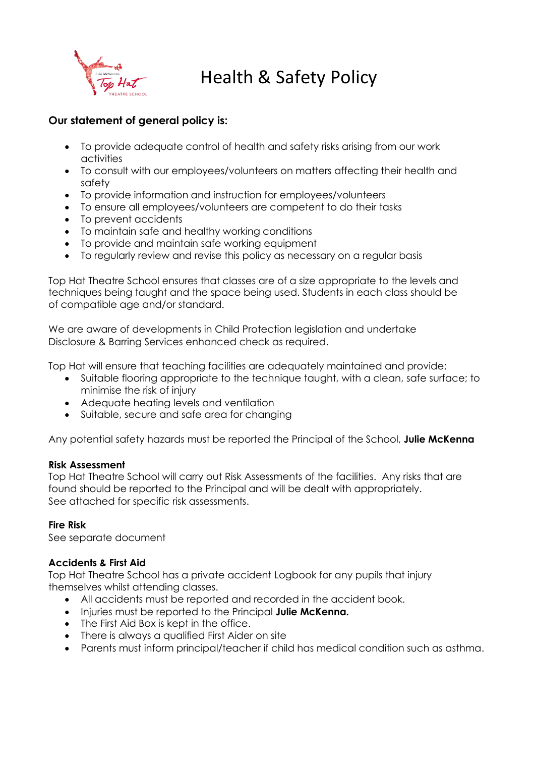

# Health & Safety Policy

## **Our statement of general policy is:**

- To provide adequate control of health and safety risks arising from our work activities
- To consult with our employees/volunteers on matters affecting their health and safety
- To provide information and instruction for employees/volunteers
- To ensure all employees/volunteers are competent to do their tasks
- To prevent accidents
- To maintain safe and healthy working conditions
- To provide and maintain safe working equipment
- To regularly review and revise this policy as necessary on a regular basis

Top Hat Theatre School ensures that classes are of a size appropriate to the levels and techniques being taught and the space being used. Students in each class should be of compatible age and/or standard.

We are aware of developments in Child Protection legislation and undertake Disclosure & Barring Services enhanced check as required.

Top Hat will ensure that teaching facilities are adequately maintained and provide:

- Suitable flooring appropriate to the technique taught, with a clean, safe surface; to minimise the risk of injury
- Adequate heating levels and ventilation
- Suitable, secure and safe area for changing

Any potential safety hazards must be reported the Principal of the School, **Julie McKenna**

### **Risk Assessment**

Top Hat Theatre School will carry out Risk Assessments of the facilities. Any risks that are found should be reported to the Principal and will be dealt with appropriately. See attached for specific risk assessments.

### **Fire Risk**

See separate document

### **Accidents & First Aid**

Top Hat Theatre School has a private accident Logbook for any pupils that injury themselves whilst attending classes.

- All accidents must be reported and recorded in the accident book.
- Injuries must be reported to the Principal **Julie McKenna.**
- The First Aid Box is kept in the office.
- There is always a qualified First Aider on site
- Parents must inform principal/teacher if child has medical condition such as asthma.